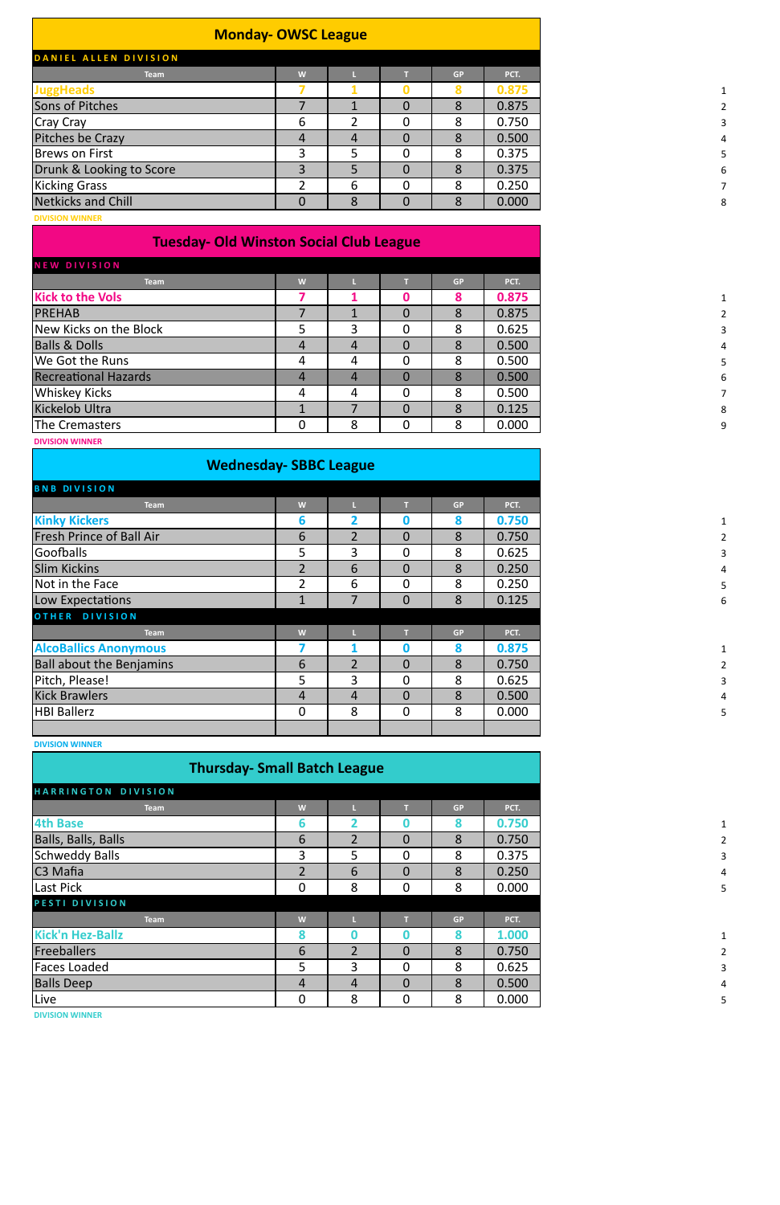## **Monday- OWSC League**

| DANIEL ALLEN DIVISION    |   |   |   |           |       |
|--------------------------|---|---|---|-----------|-------|
| <b>Team</b>              | W |   |   | <b>GP</b> | PCT.  |
| <b>JuggHeads</b>         |   |   |   |           | 0.875 |
| Sons of Pitches          |   |   | 0 | 8         | 0.875 |
| <b>Cray Cray</b>         | 6 |   |   | 8         | 0.750 |
| Pitches be Crazy         | 4 | 4 |   | 8         | 0.500 |
| <b>Brews on First</b>    |   |   | 0 | 8         | 0.375 |
| Drunk & Looking to Score |   | 5 |   | 8         | 0.375 |
| <b>Kicking Grass</b>     |   | 6 | 0 | 8         | 0.250 |
| Netkicks and Chill       |   | 8 |   | 8         | 0.000 |
|                          |   |   |   |           |       |

**DIVISION WINNER**

## **Tuesday- Old Winston Social Club League**

| NEW DIVISION                |   |   |          |           |       |
|-----------------------------|---|---|----------|-----------|-------|
| <b>Team</b>                 | W |   |          | <b>GP</b> | PCT.  |
| <b>Kick to the Vols</b>     |   |   | O        | 8         | 0.875 |
| <b>PREHAB</b>               |   |   | 0        | 8         | 0.875 |
| New Kicks on the Block      | 5 | 3 | 0        | 8         | 0.625 |
| <b>Balls &amp; Dolls</b>    | 4 | 4 | 0        | 8         | 0.500 |
| We Got the Runs             | 4 | 4 | 0        | 8         | 0.500 |
| <b>Recreational Hazards</b> |   | 4 | $\Omega$ | 8         | 0.500 |
| Whiskey Kicks               |   | 4 | 0        | 8         | 0.500 |
| Kickelob Ultra              |   |   | 0        | 8         | 0.125 |
| The Cremasters              | 0 | 8 | $\Omega$ | 8         | 0.000 |
| <b>DIVISION WINNER</b>      |   |   |          |           |       |

## **Wednesday- SBBC League**

| <b>BNB DIVISION</b>             |                |                |                |           |       |
|---------------------------------|----------------|----------------|----------------|-----------|-------|
| <b>Team</b>                     | W              |                | т              | <b>GP</b> | PCT.  |
| <b>Kinky Kickers</b>            | 6              | $\mathbf 2$    | $\bf{0}$       | 8         | 0.750 |
| <b>Fresh Prince of Ball Air</b> | 6              | 2              | $\Omega$       | 8         | 0.750 |
| Goofballs                       | 5              | 3              | $\overline{0}$ | 8         | 0.625 |
| <b>Slim Kickins</b>             | $\overline{2}$ | 6              | $\Omega$       | 8         | 0.250 |
| Not in the Face                 | $\overline{2}$ | 6              | $\Omega$       | 8         | 0.250 |
| Low Expectations                |                |                | $\overline{0}$ | 8         | 0.125 |
| OTHER DIVISION                  |                |                |                |           |       |
| <b>Team</b>                     | W              |                | T              | <b>GP</b> | PCT.  |
| <b>AlcoBallics Anonymous</b>    |                |                | $\bf{0}$       | 8         | 0.875 |
| <b>Ball about the Benjamins</b> | 6              | $\overline{2}$ | $\Omega$       | 8         | 0.750 |
| Pitch, Please!                  | 5              | 3              | $\Omega$       | 8         | 0.625 |
| <b>Kick Brawlers</b>            | 4              | 4              | $\Omega$       | 8         | 0.500 |
| <b>HBI Ballerz</b>              | $\overline{0}$ | 8              | $\mathbf{0}$   | 8         | 0.000 |
|                                 |                |                |                |           |       |

**DIVISION WINNER**

## **Thursday- Small Batch League**

| HARRINGTON DIVISION     |                |                |                |           |       |
|-------------------------|----------------|----------------|----------------|-----------|-------|
| <b>Team</b>             | W              |                | т              | <b>GP</b> | PCT.  |
| <b>4th Base</b>         | 6              |                | 0              | 8         | 0.750 |
| Balls, Balls, Balls     | 6              | $\mathfrak{D}$ | $\mathbf{0}$   | 8         | 0.750 |
| <b>Schweddy Balls</b>   | $\overline{3}$ | 5              | $\overline{0}$ | 8         | 0.375 |
| C <sub>3</sub> Mafia    | $\overline{2}$ | 6              | $\overline{0}$ | 8         | 0.250 |
| Last Pick               | $\overline{0}$ | 8              | $\overline{0}$ | 8         | 0.000 |
| PESTI DIVISION          |                |                |                |           |       |
| <b>Team</b>             | W              |                | т              | <b>GP</b> | PCT.  |
| <b>Kick'n Hez-Ballz</b> | 8              | Ω              | O              | 8         | 1.000 |
| <b>Freeballers</b>      | 6              | $\mathfrak{D}$ | $\Omega$       | 8         | 0.750 |
| <b>Faces Loaded</b>     | 5 <sup>5</sup> | 3              | $\overline{0}$ | 8         | 0.625 |
| <b>Balls Deep</b>       | $\overline{4}$ | $\overline{4}$ | $\Omega$       | 8         | 0.500 |
| Live                    | $\mathbf 0$    | 8              | $\mathbf 0$    | 8         | 0.000 |
|                         |                |                |                |           |       |

**DIVISION WINNER**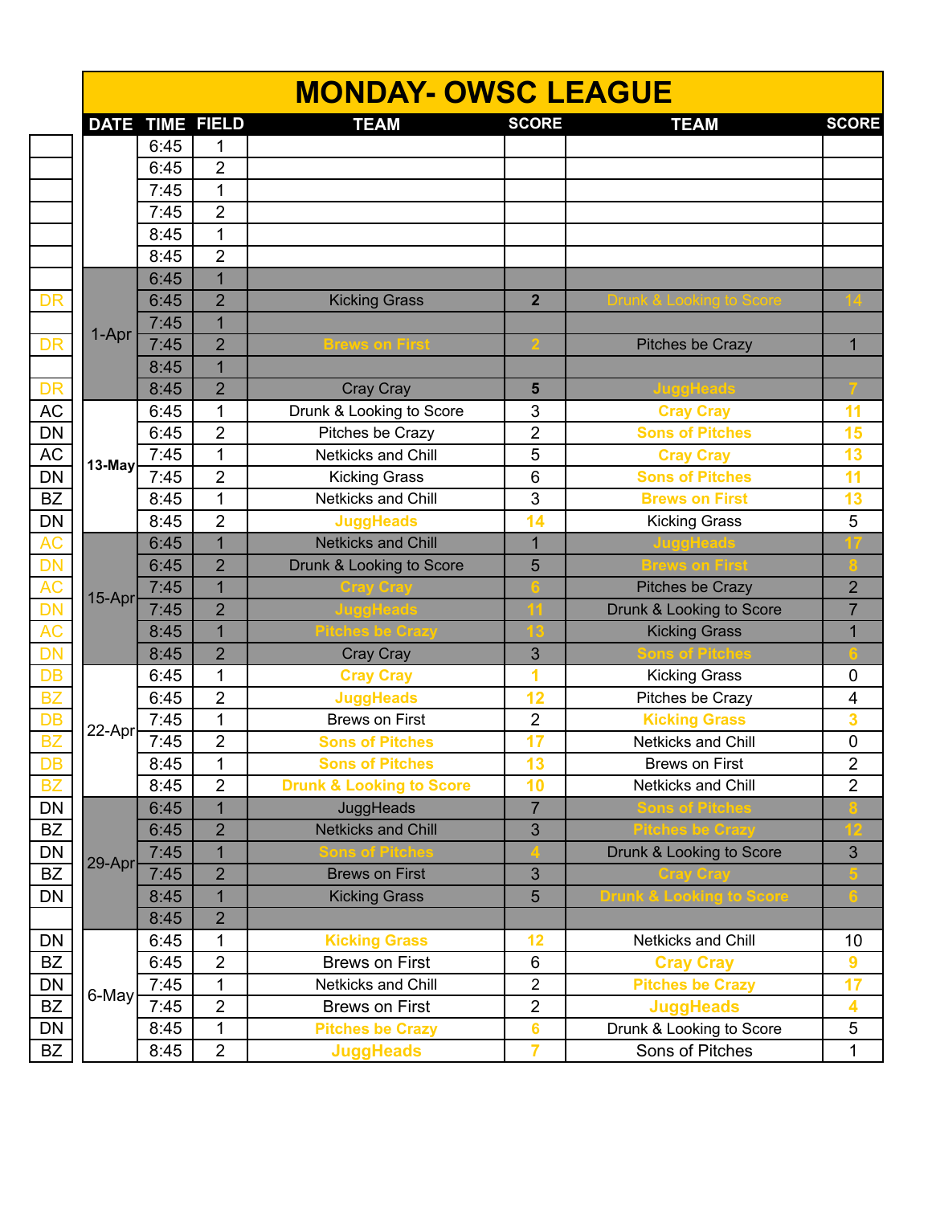|                                       |        |      |                        | <b>MONDAY- OWSC LEAGUE</b>          |                 |                                     |                |
|---------------------------------------|--------|------|------------------------|-------------------------------------|-----------------|-------------------------------------|----------------|
|                                       |        |      | <b>DATE TIME FIELD</b> | <b>TEAM</b>                         | <b>SCORE</b>    | <b>TEAM</b>                         | <b>SCORE</b>   |
|                                       |        | 6:45 |                        |                                     |                 |                                     |                |
|                                       |        | 6:45 | $\overline{2}$         |                                     |                 |                                     |                |
|                                       |        | 7:45 | 1                      |                                     |                 |                                     |                |
|                                       |        | 7:45 | $\overline{2}$         |                                     |                 |                                     |                |
|                                       |        | 8:45 | 1                      |                                     |                 |                                     |                |
|                                       |        | 8:45 | $\overline{2}$         |                                     |                 |                                     |                |
|                                       |        | 6:45 | $\overline{1}$         |                                     |                 |                                     |                |
| DR                                    |        | 6:45 | $\overline{2}$         | <b>Kicking Grass</b>                | $\overline{2}$  |                                     |                |
|                                       |        | 7:45 | $\overline{1}$         |                                     |                 |                                     |                |
| $\overline{\mathsf{DR}}$              | 1-Apr  | 7:45 | $\overline{2}$         | <b>Brews on First</b>               |                 | Pitches be Crazy                    | $\mathbf{1}$   |
|                                       |        | 8:45 | 1                      |                                     |                 |                                     |                |
| DR                                    |        | 8:45 | $\overline{2}$         | Cray Cray                           | 5               |                                     |                |
| AC<br>DN<br>AC                        |        | 6:45 | 1                      | Drunk & Looking to Score            | 3               | <b>Cray Cray</b>                    | 11             |
|                                       |        | 6:45 | $\overline{2}$         | Pitches be Crazy                    | $\overline{2}$  | <b>Sons of Pitches</b>              | 15             |
|                                       |        | 7:45 | 1                      | Netkicks and Chill                  | 5               | <b>Cray Cray</b>                    | 13             |
|                                       | 13-May | 7:45 | $\overline{2}$         | <b>Kicking Grass</b>                | 6               | <b>Sons of Pitches</b>              | 11             |
|                                       |        | 8:45 | 1                      | Netkicks and Chill                  | 3               | <b>Brews on First</b>               | 13             |
|                                       |        | 8:45 | $\overline{2}$         | <b>JuggHeads</b>                    | 14              | <b>Kicking Grass</b>                | 5              |
| DN<br>BZ<br>DN<br>AC                  |        | 6:45 | $\overline{1}$         | <b>Netkicks and Chill</b>           | $\overline{1}$  |                                     |                |
| $\overline{\mathsf{DN}}$              |        | 6:45 | $\overline{2}$         | Drunk & Looking to Score            | 5               |                                     |                |
|                                       |        | 7:45 | $\mathbf{1}$           |                                     |                 | <b>Pitches be Crazy</b>             | $\overline{2}$ |
|                                       | 15-Apr | 7:45 | $\overline{2}$         | uggHead                             |                 | Drunk & Looking to Score            | $\overline{7}$ |
|                                       |        | 8:45 | 1                      | tches be Crazy                      |                 | <b>Kicking Grass</b>                | 1              |
|                                       |        | 8:45 | $\overline{2}$         | Cray Cray                           | 3               |                                     |                |
|                                       |        | 6:45 | 1                      | <b>Cray Cray</b>                    | 1               | <b>Kicking Grass</b>                | $\mathbf 0$    |
|                                       |        | 6:45 | $\overline{2}$         | <b>JuggHeads</b>                    | 12              | Pitches be Crazy                    | 4              |
|                                       |        | 7:45 | 1                      | <b>Brews on First</b>               | $\overline{2}$  | <b>Kicking Grass</b>                | 3              |
|                                       | 22-Apr | 7:45 | $\overline{2}$         | <b>Sons of Pitches</b>              | 17              | Netkicks and Chill                  | $\pmb{0}$      |
|                                       |        | 8:45 | $\mathbf 1$            | <b>Sons of Pitches</b>              | 13              | <b>Brews on First</b>               | $\mathbf{2}$   |
| <b>BZ</b>                             |        | 8:45 | $\overline{2}$         | <b>Drunk &amp; Looking to Score</b> | 10              | Netkicks and Chill                  | $\overline{2}$ |
| $\overline{\mathsf{DN}}$              |        | 6:45 | $\overline{1}$         | JuggHeads                           | $\overline{7}$  |                                     |                |
|                                       |        | 6:45 | $\overline{2}$         | <b>Netkicks and Chill</b>           | 3               |                                     |                |
| BZ<br>DN<br>BZ<br>DN                  |        | 7:45 | $\mathbf{1}$           |                                     |                 | Drunk & Looking to Score            | 3              |
|                                       | 29-Apr | 7:45 | $\overline{2}$         | <b>Brews on First</b>               | 3               | Cray Cray                           |                |
|                                       |        | 8:45 | 1                      | <b>Kicking Grass</b>                | 5               | <b>Drunk &amp; Looking to Score</b> |                |
|                                       |        | 8:45 | $\overline{2}$         |                                     |                 |                                     |                |
| $\overline{DN}$                       |        | 6:45 | 1                      | <b>Kicking Grass</b>                | 12              | Netkicks and Chill                  | 10             |
| BZ                                    |        | 6:45 | $\overline{2}$         | <b>Brews on First</b>               | 6               | <b>Cray Cray</b>                    | $\overline{9}$ |
|                                       |        | 7:45 | 1                      | Netkicks and Chill                  | $\mathbf 2$     | <b>Pitches be Crazy</b>             | 17             |
| $\frac{\overline{DN}}{\overline{BZ}}$ | 6-May  | 7:45 | $\overline{2}$         | <b>Brews on First</b>               | $\overline{2}$  | <b>JuggHeads</b>                    | 4              |
| $\frac{DN}{N}$                        |        | 8:45 | 1                      | <b>Pitches be Crazy</b>             | $6\phantom{1}6$ | Drunk & Looking to Score            | $\,$ 5 $\,$    |
| BZ                                    |        | 8:45 | $\overline{c}$         | <b>JuggHeads</b>                    | $\overline{7}$  | Sons of Pitches                     | 1              |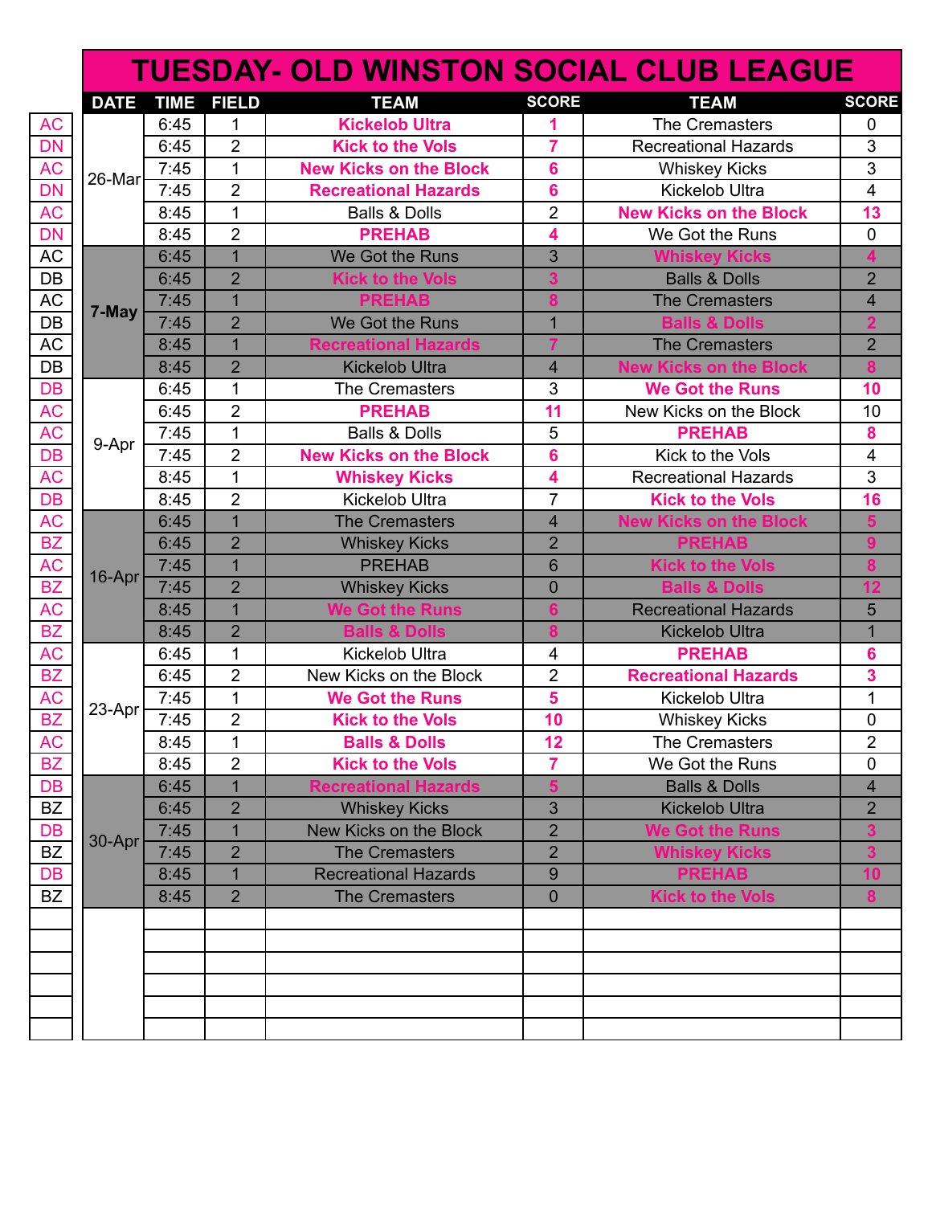|                                  |             |             |                |                               |                         | <b>TUESDAY- OLD WINSTON SOCIAL CLUB LEAGUE</b> |                         |
|----------------------------------|-------------|-------------|----------------|-------------------------------|-------------------------|------------------------------------------------|-------------------------|
|                                  | <b>DATE</b> | <b>TIME</b> | <b>FIELD</b>   | <b>TEAM</b>                   | <b>SCORE</b>            | <b>TEAM</b>                                    | <b>SCORE</b>            |
|                                  |             | 6:45        | 1              | <b>Kickelob Ultra</b>         | 1                       | The Cremasters                                 | 0                       |
|                                  |             | 6:45        | $\overline{2}$ | <b>Kick to the Vols</b>       | $\overline{7}$          | <b>Recreational Hazards</b>                    | 3                       |
| AC<br>DN<br>AC<br>DN<br>AC       |             | 7:45        | $\mathbf{1}$   | <b>New Kicks on the Block</b> | 6                       | <b>Whiskey Kicks</b>                           | $\overline{3}$          |
|                                  | 26-Mar      | 7:45        | $\overline{2}$ | <b>Recreational Hazards</b>   | 6                       | Kickelob Ultra                                 | $\overline{4}$          |
|                                  |             | 8:45        | $\mathbf{1}$   | <b>Balls &amp; Dolls</b>      | $\overline{2}$          | <b>New Kicks on the Block</b>                  | 13                      |
| DN<br>AC                         |             | 8:45        | $\overline{2}$ | <b>PREHAB</b>                 | 4                       | We Got the Runs                                | $\mathbf 0$             |
|                                  |             | 6:45        | $\overline{1}$ | We Got the Runs               | 3                       | <b>Whiskey Kicks</b>                           | 4                       |
| $\frac{DE}{AC}$                  |             | 6:45        | $\overline{2}$ | <b>Kick to the Vols</b>       | 3                       | <b>Balls &amp; Dolls</b>                       | $\overline{2}$          |
|                                  |             | 7:45        | $\mathbf{1}$   | <b>PREHAB</b>                 | 8                       | <b>The Cremasters</b>                          | $\overline{\mathbf{4}}$ |
| $\overline{DB}$                  | 7-May       | 7:45        | $\overline{2}$ | We Got the Runs               | $\overline{1}$          | <b>Balls &amp; Dolls</b>                       | $\overline{2}$          |
| AC                               |             | 8:45        | $\mathbf{1}$   | <b>Recreational Hazards</b>   |                         | <b>The Cremasters</b>                          | $\overline{2}$          |
|                                  |             | 8:45        | $\overline{2}$ | <b>Kickelob Ultra</b>         | $\overline{\mathbf{4}}$ | <b>New Kicks on the Block</b>                  | $\overline{\mathbf{8}}$ |
|                                  |             | 6:45        | 1              | The Cremasters                | 3                       | <b>We Got the Runs</b>                         | 10                      |
| DB<br>DB<br>AC<br>AC<br>DB<br>AC |             | 6:45        | $\overline{2}$ | <b>PREHAB</b>                 | 11                      | New Kicks on the Block                         | 10                      |
|                                  |             | 7:45        | $\mathbf{1}$   | <b>Balls &amp; Dolls</b>      | 5                       | <b>PREHAB</b>                                  | 8                       |
|                                  | 9-Apr       | 7:45        | $\overline{2}$ | <b>New Kicks on the Block</b> | 6                       | Kick to the Vols                               | $\overline{\mathbf{4}}$ |
|                                  |             | 8:45        | $\mathbf{1}$   | <b>Whiskey Kicks</b>          | 4                       | <b>Recreational Hazards</b>                    | 3                       |
|                                  |             | 8:45        | $\overline{2}$ | <b>Kickelob Ultra</b>         | $\overline{7}$          | <b>Kick to the Vols</b>                        | 16                      |
|                                  |             | 6:45        | $\mathbf{1}$   | <b>The Cremasters</b>         | 4                       | <b>New Kicks on the Block</b>                  | 5                       |
|                                  |             | 6:45        | $\overline{2}$ | <b>Whiskey Kicks</b>          | $\overline{2}$          | <b>PREHAB</b>                                  | $\overline{9}$          |
|                                  |             | 7:45        | $\overline{1}$ | <b>PREHAB</b>                 | 6                       | <b>Kick to the Vols</b>                        | 8                       |
|                                  | 16-Apr      | 7:45        | $\overline{2}$ | <b>Whiskey Kicks</b>          | $\overline{0}$          | <b>Balls &amp; Dolls</b>                       | 12                      |
|                                  |             | 8:45        | $\mathbf 1$    | <b>We Got the Runs</b>        | $6\phantom{a}$          | <b>Recreational Hazards</b>                    | 5                       |
|                                  |             | 8:45        | $\overline{2}$ | <b>Balls &amp; Dolls</b>      | $\overline{\mathbf{8}}$ | <b>Kickelob Ultra</b>                          | $\overline{1}$          |
| DB AC BZ AC BZ AC BZ AC BZ AC BZ |             | 6:45        | $\mathbf{1}$   | <b>Kickelob Ultra</b>         | 4                       | <b>PREHAB</b>                                  | 6                       |
|                                  |             | 6:45        | $\overline{2}$ | New Kicks on the Block        | $\overline{2}$          | <b>Recreational Hazards</b>                    | $\overline{\mathbf{3}}$ |
|                                  |             | 7:45        | $\mathbf{1}$   | <b>We Got the Runs</b>        | 5                       | <b>Kickelob Ultra</b>                          | $\mathbf 1$             |
|                                  | 23-Apr      | 7:45        | $\overline{2}$ | <b>Kick to the Vols</b>       | 10                      | <b>Whiskey Kicks</b>                           | $\pmb{0}$               |
|                                  |             | 8:45        | 1              | <b>Balls &amp; Dolls</b>      | 12                      | The Cremasters                                 | 2                       |
| AC<br>BZ                         |             | 8:45        | $\overline{2}$ | <b>Kick to the Vols</b>       | 7                       | We Got the Runs                                | 0                       |
|                                  |             | 6:45        | $\mathbf{1}$   | <b>Recreational Hazards</b>   | 5                       | <b>Balls &amp; Dolls</b>                       | 4                       |
|                                  |             | 6:45        | $\overline{2}$ | <b>Whiskey Kicks</b>          | 3                       | <b>Kickelob Ultra</b>                          | $\overline{2}$          |
|                                  |             | 7:45        | 1              | New Kicks on the Block        | $\overline{2}$          | <b>We Got the Runs</b>                         | 3                       |
|                                  | 30-Apr      | 7:45        | $\overline{2}$ | <b>The Cremasters</b>         | $\overline{2}$          | <b>Whiskey Kicks</b>                           | 3                       |
| DB<br>BZ<br>DB<br>BZ<br>DB<br>BZ |             | 8:45        | $\mathbf 1$    | <b>Recreational Hazards</b>   | 9                       | <b>PREHAB</b>                                  | 10                      |
|                                  |             | 8:45        | $\overline{2}$ | <b>The Cremasters</b>         | $\mathbf 0$             | <b>Kick to the Vols</b>                        | 8                       |
|                                  |             |             |                |                               |                         |                                                |                         |
|                                  |             |             |                |                               |                         |                                                |                         |
|                                  |             |             |                |                               |                         |                                                |                         |
|                                  |             |             |                |                               |                         |                                                |                         |
|                                  |             |             |                |                               |                         |                                                |                         |
|                                  |             |             |                |                               |                         |                                                |                         |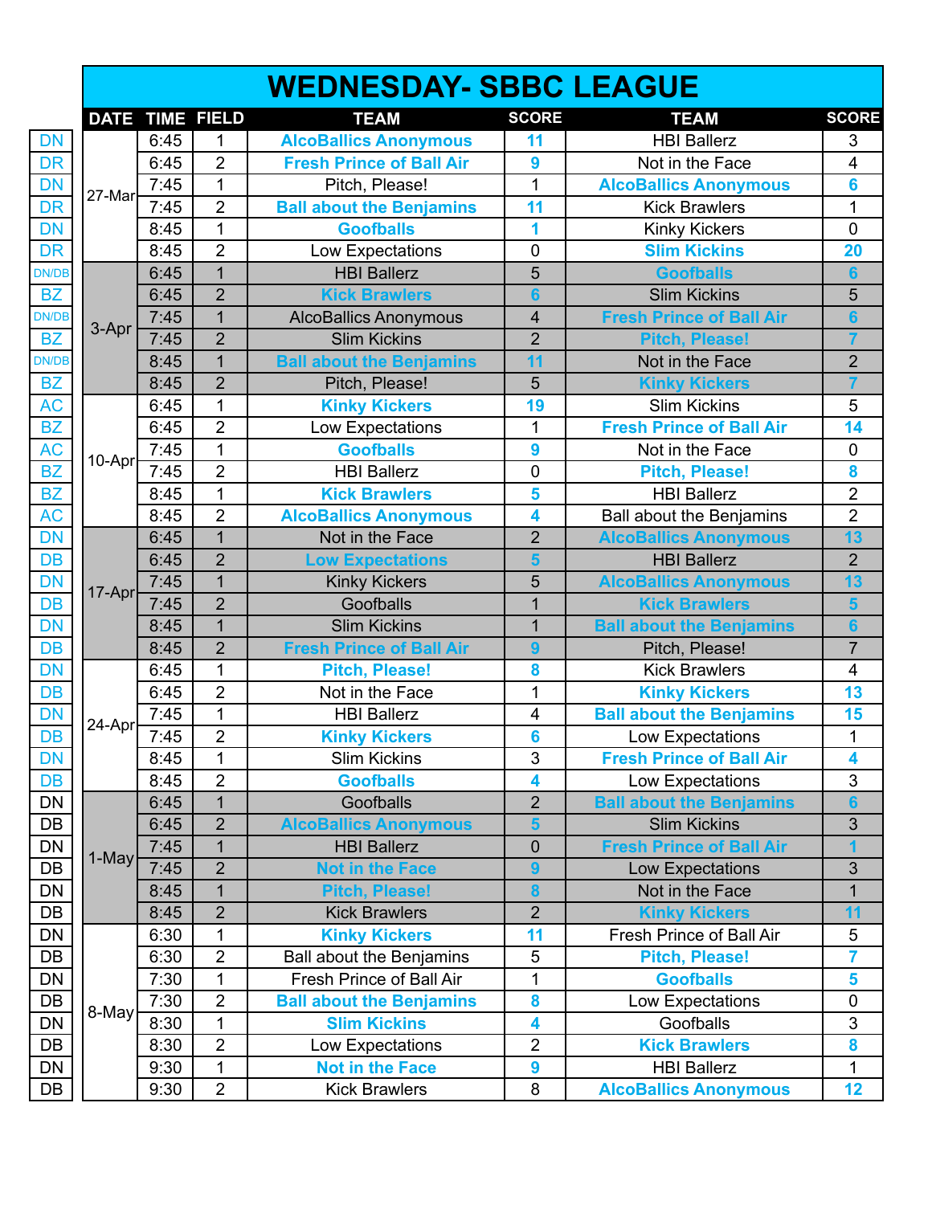|               |        |      |                 | <b>WEDNESDAY- SBBC LEAGUE</b>   |                |                                 |                         |
|---------------|--------|------|-----------------|---------------------------------|----------------|---------------------------------|-------------------------|
|               |        |      | DATE TIME FIELD | <b>TEAM</b>                     | <b>SCORE</b>   | <b>TEAM</b>                     | <b>SCORE</b>            |
| <b>DN</b>     |        | 6:45 | 1               | <b>AlcoBallics Anonymous</b>    | 11             | <b>HBI Ballerz</b>              | 3                       |
| <b>DR</b>     |        | 6:45 | $\overline{2}$  | <b>Fresh Prince of Ball Air</b> | 9              | Not in the Face                 | $\overline{\mathbf{4}}$ |
| <b>DN</b>     |        | 7:45 | $\overline{1}$  | Pitch, Please!                  | 1              | <b>AlcoBallics Anonymous</b>    | 6                       |
| <b>DR</b>     | 27-Mar | 7:45 | $\overline{2}$  | <b>Ball about the Benjamins</b> | 11             | <b>Kick Brawlers</b>            | 1                       |
| <b>DN</b>     |        | 8:45 | $\mathbf 1$     | <b>Goofballs</b>                | 1              | <b>Kinky Kickers</b>            | $\overline{0}$          |
| <b>DR</b>     |        | 8:45 | $\overline{2}$  | Low Expectations                | $\mathbf 0$    | <b>Slim Kickins</b>             | 20                      |
| <b>DN/DB</b>  |        | 6:45 | $\overline{1}$  | <b>HBI Ballerz</b>              | 5              | <b>Goofballs</b>                | $6\phantom{a}$          |
| <b>BZ</b>     |        | 6:45 | $\overline{2}$  | <b>Kick Brawlers</b>            | $6\phantom{a}$ | <b>Slim Kickins</b>             | 5                       |
| <b>DN/DB</b>  |        | 7:45 | $\overline{1}$  | <b>AlcoBallics Anonymous</b>    | 4              | <b>Fresh Prince of Ball Air</b> | $6\phantom{a}$          |
| <b>BZ</b>     | 3-Apr  | 7:45 | $\overline{2}$  | <b>Slim Kickins</b>             | $\overline{2}$ | <b>Pitch, Please!</b>           | $\overline{7}$          |
| <b>DN/DB</b>  |        | 8:45 | $\overline{1}$  | <b>Ball about the Benjamins</b> | 11             | Not in the Face                 | $\overline{2}$          |
| <b>BZ</b>     |        | 8:45 | $\overline{2}$  | Pitch, Please!                  | 5              | <b>Kinky Kickers</b>            | $\overline{7}$          |
| $\mathsf{AC}$ |        | 6:45 | $\mathbf 1$     | <b>Kinky Kickers</b>            | 19             | <b>Slim Kickins</b>             | 5                       |
| <b>BZ</b>     |        | 6:45 | $\overline{2}$  | Low Expectations                | 1              | <b>Fresh Prince of Ball Air</b> | 14                      |
| <b>AC</b>     | 10-Apr | 7:45 | $\mathbf 1$     | <b>Goofballs</b>                | 9              | Not in the Face                 | $\mathbf 0$             |
| <b>BZ</b>     |        | 7:45 | $\overline{2}$  | <b>HBI Ballerz</b>              | $\mathbf 0$    | <b>Pitch, Please!</b>           | 8                       |
| <b>BZ</b>     |        | 8:45 | $\overline{1}$  | <b>Kick Brawlers</b>            | 5              | <b>HBI Ballerz</b>              | $\overline{2}$          |
| <b>AC</b>     |        | 8:45 | $\overline{2}$  | <b>AlcoBallics Anonymous</b>    | 4              | <b>Ball about the Benjamins</b> | $\overline{2}$          |
| <b>DN</b>     |        | 6:45 | $\overline{1}$  | Not in the Face                 | $\overline{2}$ | <b>AlcoBallics Anonymous</b>    | 13                      |
| <b>DB</b>     |        | 6:45 | $\overline{2}$  | <b>Low Expectations</b>         | 5              | <b>HBI Ballerz</b>              | $\overline{2}$          |
| <b>DN</b>     | 17-Apr | 7:45 | $\overline{1}$  | <b>Kinky Kickers</b>            | 5              | <b>AlcoBallics Anonymous</b>    | 13                      |
| <b>DB</b>     |        | 7:45 | $\overline{2}$  | Goofballs                       | $\overline{1}$ | <b>Kick Brawlers</b>            | $\overline{\mathbf{5}}$ |
| <b>DN</b>     |        | 8:45 | $\overline{1}$  | <b>Slim Kickins</b>             | 1              | <b>Ball about the Benjamins</b> | $6\phantom{a}$          |
| <b>DB</b>     |        | 8:45 | $\overline{2}$  | <b>Fresh Prince of Ball Air</b> | 9              | Pitch, Please!                  | $\overline{7}$          |
| <b>DN</b>     |        | 6:45 | $\mathbf 1$     | <b>Pitch, Please!</b>           | 8              | <b>Kick Brawlers</b>            | $\overline{\mathbf{4}}$ |
| DB            |        | 6:45 | $\overline{2}$  | Not in the Face                 | 1              | <b>Kinky Kickers</b>            | 13                      |
| <b>DN</b>     | 24-Apr | 7:45 | $\overline{1}$  | <b>HBI Ballerz</b>              | 4              | <b>Ball about the Benjamins</b> | 15                      |
| <b>DB</b>     |        | 7:45 | $\overline{2}$  | <b>Kinky Kickers</b>            | 6              | Low Expectations                | $\mathbf{1}$            |
| <b>DN</b>     |        | 8:45 | 1               | <b>Slim Kickins</b>             | 3              | <b>Fresh Prince of Ball Air</b> | 4                       |
| <b>DB</b>     |        | 8:45 | $\overline{2}$  | <b>Goofballs</b>                | 4              | Low Expectations                | 3                       |
| <b>DN</b>     |        | 6:45 | $\mathbf{1}$    | Goofballs                       | $\overline{2}$ | <b>Ball about the Benjamins</b> | $6\phantom{a}$          |
| DB            |        | 6:45 | $\overline{2}$  | <b>AlcoBallics Anonymous</b>    | 5              | <b>Slim Kickins</b>             | $\mathfrak{S}$          |
| DN            | 1-May  | 7:45 | $\overline{1}$  | <b>HBI Ballerz</b>              | $\mathbf 0$    | <b>Fresh Prince of Ball Air</b> | 1                       |
| DB            |        | 7:45 | $\overline{2}$  | <b>Not in the Face</b>          | 9              | Low Expectations                | $\mathfrak{S}$          |
| DN            |        | 8:45 | $\mathbf{1}$    | <b>Pitch, Please!</b>           | 8              | Not in the Face                 | $\mathbf{1}$            |
| DB            |        | 8:45 | $\overline{2}$  | <b>Kick Brawlers</b>            | $\overline{2}$ | <b>Kinky Kickers</b>            | 11                      |
| <b>DN</b>     |        | 6:30 | 1               | <b>Kinky Kickers</b>            | 11             | Fresh Prince of Ball Air        | 5                       |
| DB            |        | 6:30 | $\overline{2}$  | <b>Ball about the Benjamins</b> | 5              | <b>Pitch, Please!</b>           | $\overline{7}$          |
| DN            |        | 7:30 | $\mathbf{1}$    | Fresh Prince of Ball Air        | 1              | <b>Goofballs</b>                | 5                       |
| DB            |        | 7:30 | $\overline{2}$  | <b>Ball about the Benjamins</b> | 8              | Low Expectations                | $\pmb{0}$               |
| <b>DN</b>     | 8-May  | 8:30 | $\mathbf 1$     | <b>Slim Kickins</b>             | 4              | Goofballs                       | 3                       |
| DB            |        | 8:30 | $\overline{2}$  | Low Expectations                | $\overline{2}$ | <b>Kick Brawlers</b>            | 8                       |
| <b>DN</b>     |        | 9:30 | $\mathbf 1$     | <b>Not in the Face</b>          | 9              | <b>HBI Ballerz</b>              | $\mathbf 1$             |
| <b>DB</b>     |        | 9:30 | $\overline{2}$  | <b>Kick Brawlers</b>            | 8              | <b>AlcoBallics Anonymous</b>    | 12                      |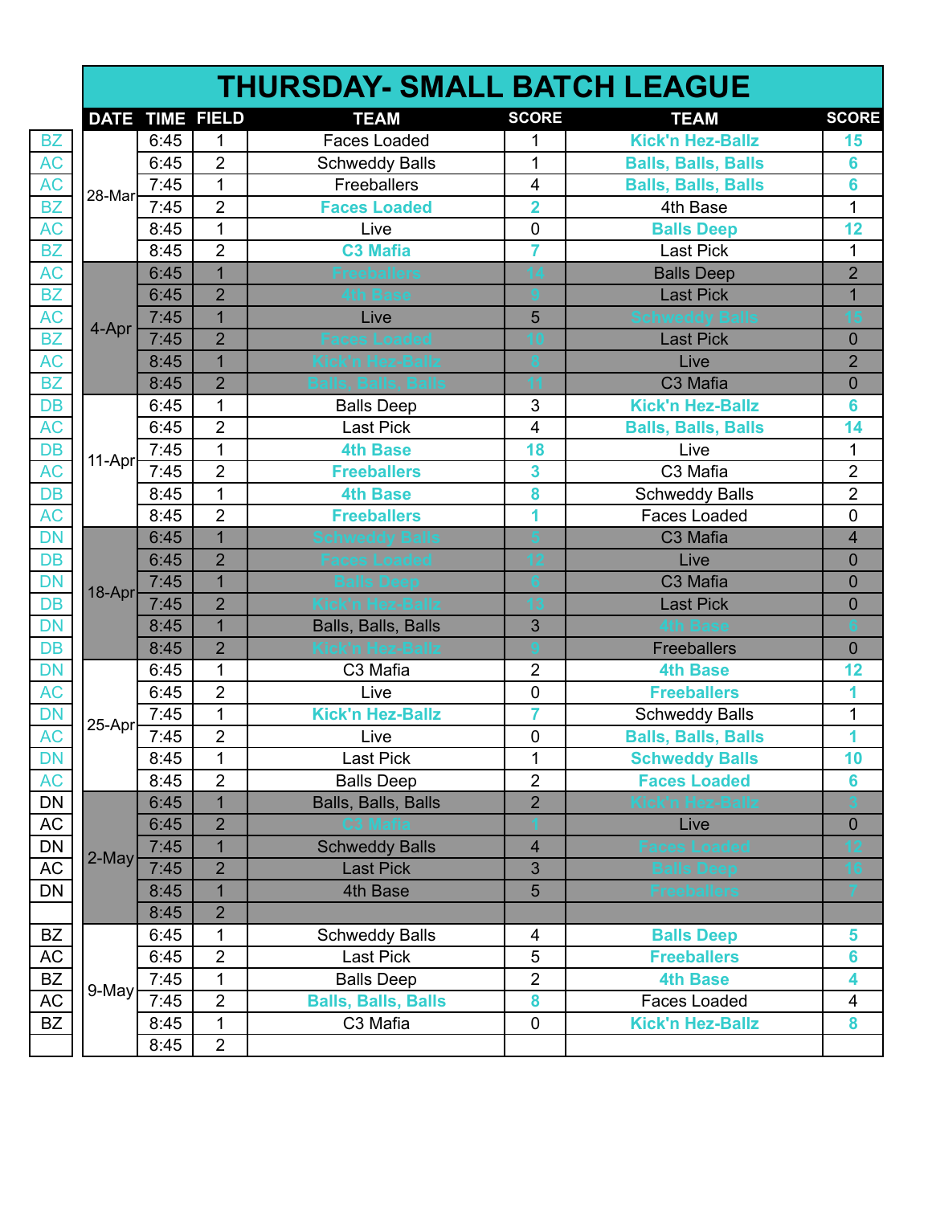|        |      |                        | <b>THURSDAY- SMALL BATCH LEAGUE</b> |                         |                            |                |
|--------|------|------------------------|-------------------------------------|-------------------------|----------------------------|----------------|
|        |      | <b>DATE TIME FIELD</b> | <b>TEAM</b>                         | <b>SCORE</b>            | <b>TEAM</b>                | <b>SCORE</b>   |
|        | 6:45 | $\mathbf{1}$           | <b>Faces Loaded</b>                 | $\mathbf{1}$            | <b>Kick'n Hez-Ballz</b>    | 15             |
|        | 6:45 | $\overline{2}$         | <b>Schweddy Balls</b>               | 1                       | <b>Balls, Balls, Balls</b> | 6              |
| 28-Mar | 7:45 | $\mathbf{1}$           | Freeballers                         | $\overline{\mathbf{4}}$ | <b>Balls, Balls, Balls</b> | 6              |
|        | 7:45 | $\overline{2}$         | <b>Faces Loaded</b>                 | $\overline{2}$          | 4th Base                   | $\overline{1}$ |
|        | 8:45 | $\mathbf{1}$           | Live                                | 0                       | <b>Balls Deep</b>          | 12             |
|        | 8:45 | $\overline{2}$         | <b>C3 Mafia</b>                     | $\overline{7}$          | <b>Last Pick</b>           | $\mathbf{1}$   |
|        | 6:45 | $\overline{1}$         |                                     |                         | <b>Balls Deep</b>          | $\overline{2}$ |
|        | 6:45 | $\overline{2}$         |                                     |                         | <b>Last Pick</b>           | $\overline{1}$ |
| 4-Apr  | 7:45 | $\overline{1}$         | Live                                | 5                       |                            |                |
|        | 7:45 | $\overline{2}$         |                                     |                         | <b>Last Pick</b>           | $\overline{0}$ |
|        | 8:45 | $\overline{1}$         |                                     |                         | Live                       | $\overline{2}$ |
|        | 8:45 | $\overline{2}$         |                                     |                         | C3 Mafia                   | $\overline{0}$ |
|        | 6:45 | $\mathbf{1}$           | <b>Balls Deep</b>                   | 3                       | <b>Kick'n Hez-Ballz</b>    | 6              |
|        | 6:45 | $\overline{2}$         | Last Pick                           | $\overline{\mathbf{4}}$ | <b>Balls, Balls, Balls</b> | 14             |
|        | 7:45 | $\mathbf{1}$           | <b>4th Base</b>                     | 18                      | Live                       | 1              |
| 11-Apr | 7:45 | $\overline{2}$         | <b>Freeballers</b>                  | 3                       | C3 Mafia                   | $\overline{2}$ |
|        | 8:45 | $\mathbf{1}$           | <b>4th Base</b>                     | 8                       | <b>Schweddy Balls</b>      | $\overline{2}$ |
|        | 8:45 | $\overline{2}$         | <b>Freeballers</b>                  | 1                       | <b>Faces Loaded</b>        | $\mathbf 0$    |
|        | 6:45 | $\overline{1}$         |                                     |                         | C3 Mafia                   | 4              |
|        | 6:45 | $\overline{2}$         |                                     |                         | Live                       | $\overline{0}$ |
|        | 7:45 | $\overline{1}$         |                                     |                         | C3 Mafia                   | $\overline{0}$ |
| 18-Apr | 7:45 | $\overline{2}$         |                                     |                         | <b>Last Pick</b>           | $\overline{0}$ |
|        | 8:45 | $\overline{1}$         | Balls, Balls, Balls                 | 3                       |                            |                |
|        | 8:45 | $\overline{2}$         |                                     |                         | <b>Freeballers</b>         | $\overline{0}$ |
|        | 6:45 | $\mathbf{1}$           | C3 Mafia                            | $\overline{2}$          | <b>4th Base</b>            | 12             |
|        | 6:45 | $\overline{2}$         | Live                                | $\mathbf 0$             | <b>Freeballers</b>         | 1              |
|        | 7:45 | $\mathbf 1$            | <b>Kick'n Hez-Ballz</b>             | $\overline{7}$          | <b>Schweddy Balls</b>      | $\mathbf{1}$   |
| 25-Apr | 7:45 | $\overline{2}$         | Live                                | $\pmb{0}$               | <b>Balls, Balls, Balls</b> | 1              |
|        | 8:45 | 1                      | Last Pick                           | 1                       | <b>Schweddy Balls</b>      | 10             |
|        | 8:45 | $\overline{2}$         | <b>Balls Deep</b>                   | $\overline{2}$          | <b>Faces Loaded</b>        | 6              |
|        | 6:45 | $\mathbf{1}$           | Balls, Balls, Balls                 | $\overline{2}$          |                            |                |
|        | 6:45 | $\overline{2}$         |                                     |                         | Live                       | $\mathbf 0$    |
|        | 7:45 | 1                      | <b>Schweddy Balls</b>               | $\overline{\mathbf{4}}$ |                            |                |
| 2-May  | 7:45 | $\overline{2}$         | <b>Last Pick</b>                    | 3                       |                            |                |
|        | 8:45 | $\overline{1}$         | 4th Base                            | 5                       |                            |                |
|        | 8:45 | $\overline{2}$         |                                     |                         |                            |                |
|        | 6:45 | $\mathbf{1}$           | <b>Schweddy Balls</b>               | $\overline{4}$          | <b>Balls Deep</b>          | 5              |
|        | 6:45 | $\overline{2}$         | Last Pick                           | 5                       | <b>Freeballers</b>         | 6              |
|        | 7:45 | 1                      | <b>Balls Deep</b>                   | $\overline{2}$          | <b>4th Base</b>            | 4              |
| 9-May  | 7:45 | $\overline{2}$         | <b>Balls, Balls, Balls</b>          | 8                       | Faces Loaded               | 4              |
|        | 8:45 | 1                      | C3 Mafia                            | 0                       | <b>Kick'n Hez-Ballz</b>    | 8              |
|        | 8:45 | $\overline{2}$         |                                     |                         |                            |                |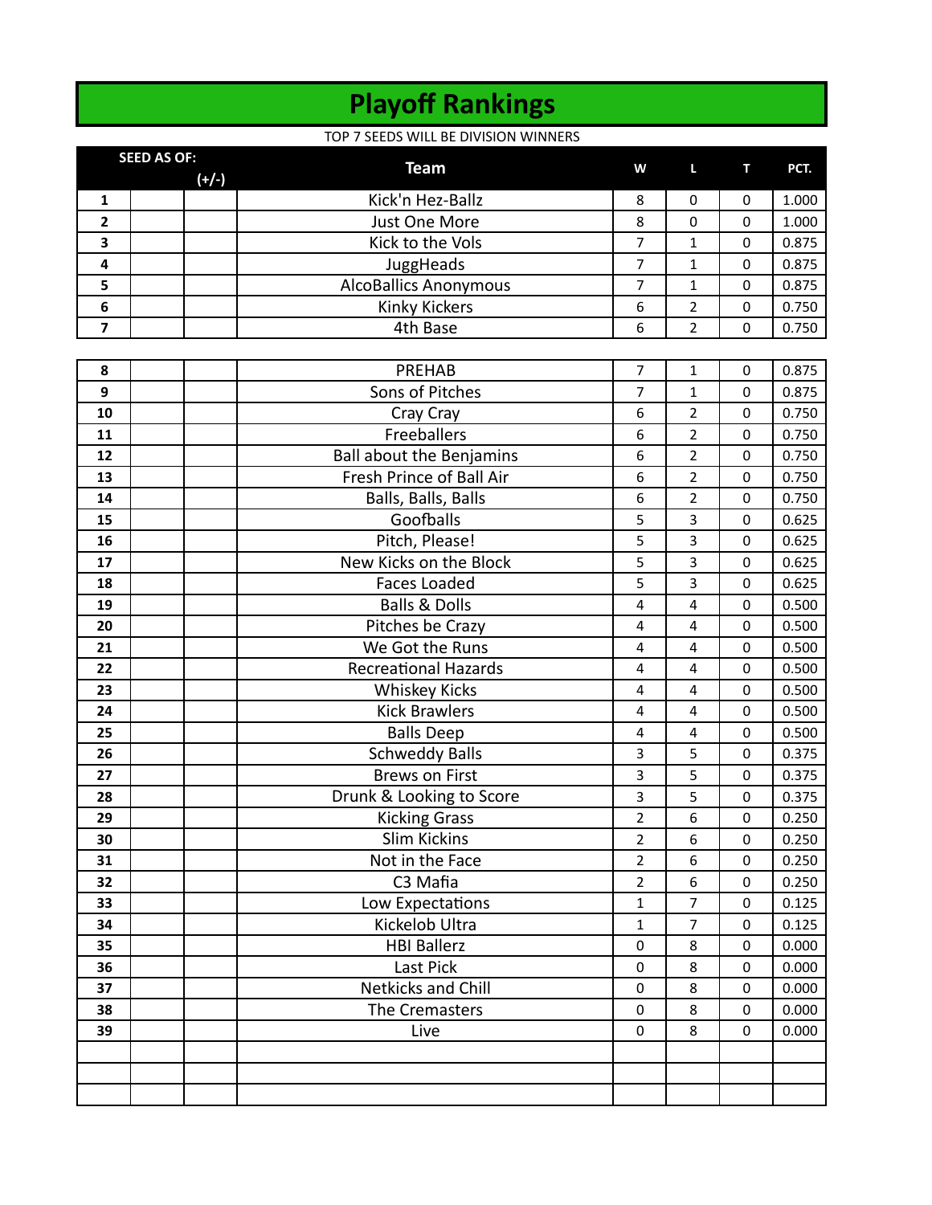# **Playoff Rankings**

### TOP 7 SEEDS WILL BE DIVISION WINNERS

|              | <b>SEED AS OF:</b> |         |                              |   |              |                  |       |
|--------------|--------------------|---------|------------------------------|---|--------------|------------------|-------|
|              |                    | $(+/-)$ | <b>Team</b>                  | W | $\mathbf{L}$ | <b>TELESCOPE</b> | PCT.  |
|              |                    |         | Kick'n Hez-Ballz             | 8 | 0            |                  | 1.000 |
| $\mathbf{2}$ |                    |         | Just One More                | 8 | 0            |                  | 1.000 |
| 3            |                    |         | Kick to the Vols             |   |              | 0                | 0.875 |
| 4            |                    |         | JuggHeads                    |   |              |                  | 0.875 |
| 5            |                    |         | <b>AlcoBallics Anonymous</b> |   |              | 0                | 0.875 |
| 6            |                    |         | <b>Kinky Kickers</b>         | 6 | 2            | $\Omega$         | 0.750 |
|              |                    |         | 4th Base                     | 6 | 2            |                  | 0.750 |

| 8  | PREHAB                          | 7                       | $\mathbf{1}$            | $\mathbf 0$ | 0.875 |
|----|---------------------------------|-------------------------|-------------------------|-------------|-------|
| 9  | Sons of Pitches                 | $\overline{7}$          | $\mathbf{1}$            | $\Omega$    | 0.875 |
| 10 | Cray Cray                       | 6                       | $\overline{2}$          | 0           | 0.750 |
| 11 | Freeballers                     | 6                       | $\overline{2}$          | 0           | 0.750 |
| 12 | <b>Ball about the Benjamins</b> | 6                       | $\overline{2}$          | $\pmb{0}$   | 0.750 |
| 13 | Fresh Prince of Ball Air        | 6                       | $\overline{2}$          | $\mathbf 0$ | 0.750 |
| 14 | Balls, Balls, Balls             | 6                       | $\overline{2}$          | $\mathbf 0$ | 0.750 |
| 15 | Goofballs                       | 5                       | 3                       | $\mathbf 0$ | 0.625 |
| 16 | Pitch, Please!                  | 5                       | 3                       | $\mathbf 0$ | 0.625 |
| 17 | New Kicks on the Block          | 5                       | 3                       | 0           | 0.625 |
| 18 | <b>Faces Loaded</b>             | 5                       | 3                       | 0           | 0.625 |
| 19 | <b>Balls &amp; Dolls</b>        | $\overline{\mathbf{4}}$ | 4                       | $\pmb{0}$   | 0.500 |
| 20 | Pitches be Crazy                | $\overline{\mathbf{4}}$ | 4                       | $\mathbf 0$ | 0.500 |
| 21 | We Got the Runs                 | 4                       | 4                       | 0           | 0.500 |
| 22 | <b>Recreational Hazards</b>     | $\overline{\mathbf{4}}$ | $\overline{\mathbf{4}}$ | $\mathbf 0$ | 0.500 |
| 23 | <b>Whiskey Kicks</b>            | $\overline{4}$          | $\overline{4}$          | $\mathbf 0$ | 0.500 |
| 24 | <b>Kick Brawlers</b>            | $\overline{\mathbf{4}}$ | 4                       | 0           | 0.500 |
| 25 | <b>Balls Deep</b>               | $\overline{\mathbf{4}}$ | $\overline{\mathbf{4}}$ | 0           | 0.500 |
| 26 | <b>Schweddy Balls</b>           | 3                       | 5                       | $\pmb{0}$   | 0.375 |
| 27 | <b>Brews on First</b>           | $\overline{\mathbf{3}}$ | 5                       | $\mathbf 0$ | 0.375 |
| 28 | Drunk & Looking to Score        | $\overline{\mathbf{3}}$ | 5                       | $\mathbf 0$ | 0.375 |
| 29 | <b>Kicking Grass</b>            | $\overline{2}$          | 6                       | $\mathbf 0$ | 0.250 |
| 30 | <b>Slim Kickins</b>             | $\overline{2}$          | 6                       | $\mathbf 0$ | 0.250 |
| 31 | Not in the Face                 | $\overline{2}$          | 6                       | $\mathbf 0$ | 0.250 |
| 32 | C3 Mafia                        | $\overline{2}$          | 6                       | 0           | 0.250 |
| 33 | Low Expectations                | $\mathbf{1}$            | $\overline{7}$          | $\pmb{0}$   | 0.125 |
| 34 | Kickelob Ultra                  | $\mathbf{1}$            | 7                       | $\mathbf 0$ | 0.125 |
| 35 | <b>HBI Ballerz</b>              | $\mathbf 0$             | 8                       | $\mathbf 0$ | 0.000 |
| 36 | Last Pick                       | $\mathbf 0$             | 8                       | $\mathbf 0$ | 0.000 |
| 37 | <b>Netkicks and Chill</b>       | $\mathbf 0$             | 8                       | $\mathbf 0$ | 0.000 |
| 38 | The Cremasters                  | $\pmb{0}$               | 8                       | $\mathbf 0$ | 0.000 |
| 39 | Live                            | $\mathbf 0$             | 8                       | 0           | 0.000 |
|    |                                 |                         |                         |             |       |
|    |                                 |                         |                         |             |       |
|    |                                 |                         |                         |             |       |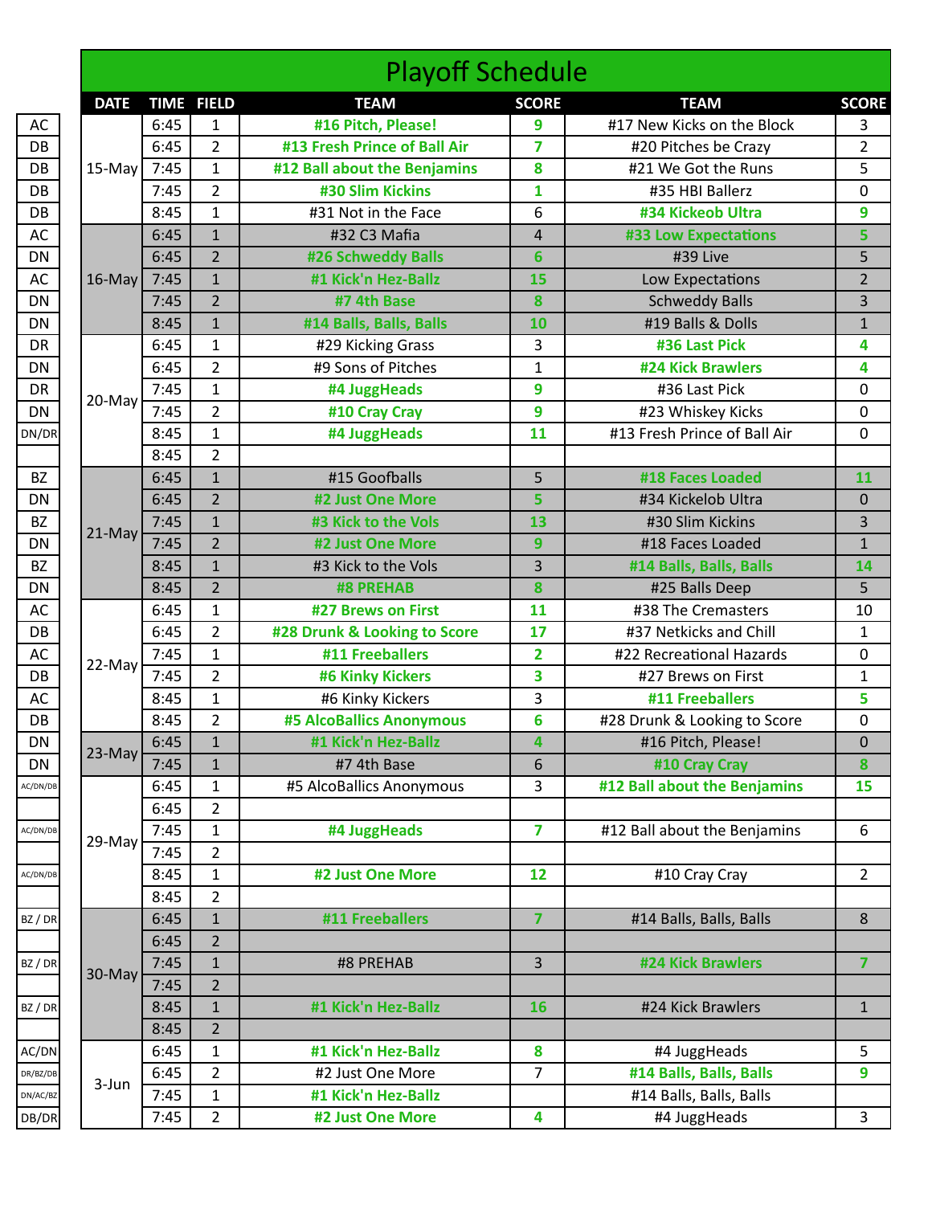|             |      |                   | <b>Playoff Schedule</b>                 |                 |                                                                                                                                                                                                                                                                                                                                                                                                                                                                                                                                                                                                                                                                                                                                                                                                                                      |                |
|-------------|------|-------------------|-----------------------------------------|-----------------|--------------------------------------------------------------------------------------------------------------------------------------------------------------------------------------------------------------------------------------------------------------------------------------------------------------------------------------------------------------------------------------------------------------------------------------------------------------------------------------------------------------------------------------------------------------------------------------------------------------------------------------------------------------------------------------------------------------------------------------------------------------------------------------------------------------------------------------|----------------|
| <b>DATE</b> |      | <b>TIME FIELD</b> | <b>TEAM</b>                             | <b>SCORE</b>    | <b>TEAM</b>                                                                                                                                                                                                                                                                                                                                                                                                                                                                                                                                                                                                                                                                                                                                                                                                                          | <b>SCORE</b>   |
|             | 6:45 | $\mathbf 1$       | #16 Pitch, Please!                      | 9               | #17 New Kicks on the Block                                                                                                                                                                                                                                                                                                                                                                                                                                                                                                                                                                                                                                                                                                                                                                                                           | 3              |
|             | 6:45 | $\overline{2}$    | #13 Fresh Prince of Ball Air            | $\overline{7}$  | #20 Pitches be Crazy                                                                                                                                                                                                                                                                                                                                                                                                                                                                                                                                                                                                                                                                                                                                                                                                                 | $\overline{2}$ |
| 15-May      | 7:45 | $\mathbf{1}$      | #12 Ball about the Benjamins            | 8               | #21 We Got the Runs                                                                                                                                                                                                                                                                                                                                                                                                                                                                                                                                                                                                                                                                                                                                                                                                                  | 5              |
|             | 7:45 | $\overline{2}$    | #30 Slim Kickins                        | $\mathbf{1}$    | #35 HBI Ballerz<br>#34 Kickeob Ultra<br><b>#33 Low Expectations</b><br>#39 Live<br>Low Expectations<br><b>Schweddy Balls</b><br>#19 Balls & Dolls<br>#36 Last Pick<br>#24 Kick Brawlers<br>#36 Last Pick<br>#23 Whiskey Kicks<br>#13 Fresh Prince of Ball Air<br>#18 Faces Loaded<br>#34 Kickelob Ultra<br>#30 Slim Kickins<br>#18 Faces Loaded<br>#14 Balls, Balls, Balls<br>#25 Balls Deep<br>#38 The Cremasters<br>#37 Netkicks and Chill<br>#22 Recreational Hazards<br>#27 Brews on First<br>#11 Freeballers<br>#28 Drunk & Looking to Score<br>#16 Pitch, Please!<br>#10 Cray Cray<br>#12 Ball about the Benjamins<br>#12 Ball about the Benjamins<br>#10 Cray Cray<br>#14 Balls, Balls, Balls<br>#24 Kick Brawlers<br>#24 Kick Brawlers<br>#4 JuggHeads<br>#14 Balls, Balls, Balls<br>#14 Balls, Balls, Balls<br>#4 JuggHeads | 0              |
|             | 8:45 | $\mathbf{1}$      | #31 Not in the Face                     | 6               |                                                                                                                                                                                                                                                                                                                                                                                                                                                                                                                                                                                                                                                                                                                                                                                                                                      | 9              |
|             | 6:45 | $\mathbf{1}$      | #32 C3 Mafia                            | 4               |                                                                                                                                                                                                                                                                                                                                                                                                                                                                                                                                                                                                                                                                                                                                                                                                                                      | 5              |
|             | 6:45 | $\overline{2}$    | #26 Schweddy Balls                      | $6\phantom{1}6$ |                                                                                                                                                                                                                                                                                                                                                                                                                                                                                                                                                                                                                                                                                                                                                                                                                                      | 5              |
| $16$ -May   | 7:45 | $\mathbf{1}$      | #1 Kick'n Hez-Ballz                     | 15              |                                                                                                                                                                                                                                                                                                                                                                                                                                                                                                                                                                                                                                                                                                                                                                                                                                      | $\overline{2}$ |
|             | 7:45 | $\overline{2}$    | #7 4th Base                             | 8               |                                                                                                                                                                                                                                                                                                                                                                                                                                                                                                                                                                                                                                                                                                                                                                                                                                      | 3              |
|             | 8:45 | $\mathbf{1}$      | #14 Balls, Balls, Balls                 | 10              |                                                                                                                                                                                                                                                                                                                                                                                                                                                                                                                                                                                                                                                                                                                                                                                                                                      | $\mathbf 1$    |
|             | 6:45 | $\mathbf{1}$      | #29 Kicking Grass                       | 3               |                                                                                                                                                                                                                                                                                                                                                                                                                                                                                                                                                                                                                                                                                                                                                                                                                                      | 4              |
|             | 6:45 | $\overline{2}$    | #9 Sons of Pitches                      | $\mathbf{1}$    |                                                                                                                                                                                                                                                                                                                                                                                                                                                                                                                                                                                                                                                                                                                                                                                                                                      | 4              |
|             | 7:45 | $\mathbf{1}$      | #4 JuggHeads                            | 9               |                                                                                                                                                                                                                                                                                                                                                                                                                                                                                                                                                                                                                                                                                                                                                                                                                                      | 0              |
| 20-May      | 7:45 | $\overline{2}$    | #10 Cray Cray                           | 9               |                                                                                                                                                                                                                                                                                                                                                                                                                                                                                                                                                                                                                                                                                                                                                                                                                                      | 0              |
|             | 8:45 | $\mathbf{1}$      | #4 JuggHeads                            | 11              |                                                                                                                                                                                                                                                                                                                                                                                                                                                                                                                                                                                                                                                                                                                                                                                                                                      | 0              |
|             | 8:45 | $\overline{2}$    |                                         |                 |                                                                                                                                                                                                                                                                                                                                                                                                                                                                                                                                                                                                                                                                                                                                                                                                                                      |                |
|             | 6:45 | $\mathbf{1}$      | #15 Goofballs                           | 5               |                                                                                                                                                                                                                                                                                                                                                                                                                                                                                                                                                                                                                                                                                                                                                                                                                                      | 11             |
|             | 6:45 | $\overline{2}$    | #2 Just One More                        | 5               |                                                                                                                                                                                                                                                                                                                                                                                                                                                                                                                                                                                                                                                                                                                                                                                                                                      | $\mathbf{0}$   |
|             | 7:45 | $\mathbf{1}$      | #3 Kick to the Vols                     | 13              |                                                                                                                                                                                                                                                                                                                                                                                                                                                                                                                                                                                                                                                                                                                                                                                                                                      | 3              |
| 21-May      | 7:45 | $\overline{2}$    | #2 Just One More                        | 9               |                                                                                                                                                                                                                                                                                                                                                                                                                                                                                                                                                                                                                                                                                                                                                                                                                                      | $\mathbf{1}$   |
|             | 8:45 | $\mathbf{1}$      | #3 Kick to the Vols                     | 3               |                                                                                                                                                                                                                                                                                                                                                                                                                                                                                                                                                                                                                                                                                                                                                                                                                                      | 14             |
|             | 8:45 | $\overline{2}$    | <b>#8 PREHAB</b>                        | 8               |                                                                                                                                                                                                                                                                                                                                                                                                                                                                                                                                                                                                                                                                                                                                                                                                                                      | 5              |
|             | 6:45 | $\mathbf{1}$      | #27 Brews on First                      | 11              |                                                                                                                                                                                                                                                                                                                                                                                                                                                                                                                                                                                                                                                                                                                                                                                                                                      | 10             |
|             | 6:45 | $\overline{2}$    | #28 Drunk & Looking to Score            | 17              |                                                                                                                                                                                                                                                                                                                                                                                                                                                                                                                                                                                                                                                                                                                                                                                                                                      | $\mathbf{1}$   |
|             | 7:45 | $\mathbf{1}$      | #11 Freeballers                         | $\overline{2}$  |                                                                                                                                                                                                                                                                                                                                                                                                                                                                                                                                                                                                                                                                                                                                                                                                                                      | 0              |
| 22-May      | 7:45 | $\overline{2}$    | <b>#6 Kinky Kickers</b>                 | 3               |                                                                                                                                                                                                                                                                                                                                                                                                                                                                                                                                                                                                                                                                                                                                                                                                                                      | $\mathbf{1}$   |
|             | 8:45 | $\mathbf{1}$      | #6 Kinky Kickers                        | 3               |                                                                                                                                                                                                                                                                                                                                                                                                                                                                                                                                                                                                                                                                                                                                                                                                                                      | 5              |
|             | 8:45 | $\overline{2}$    | <b>#5 AlcoBallics Anonymous</b>         | 6               |                                                                                                                                                                                                                                                                                                                                                                                                                                                                                                                                                                                                                                                                                                                                                                                                                                      | 0              |
|             | 6:45 | $\mathbf{1}$      | #1 Kick'n Hez-Ballz                     | 4               |                                                                                                                                                                                                                                                                                                                                                                                                                                                                                                                                                                                                                                                                                                                                                                                                                                      | 0              |
| 23-May      | 7:45 | $\mathbf{1}$      | #7 4th Base                             | 6               |                                                                                                                                                                                                                                                                                                                                                                                                                                                                                                                                                                                                                                                                                                                                                                                                                                      | 8              |
|             | 6:45 | $\mathbf{1}$      | #5 AlcoBallics Anonymous                | 3               |                                                                                                                                                                                                                                                                                                                                                                                                                                                                                                                                                                                                                                                                                                                                                                                                                                      | 15             |
|             | 6:45 | $\overline{2}$    |                                         |                 |                                                                                                                                                                                                                                                                                                                                                                                                                                                                                                                                                                                                                                                                                                                                                                                                                                      |                |
|             | 7:45 | $\mathbf{1}$      | #4 JuggHeads                            | $\overline{7}$  |                                                                                                                                                                                                                                                                                                                                                                                                                                                                                                                                                                                                                                                                                                                                                                                                                                      | 6              |
| 29-May      | 7:45 | $\overline{2}$    |                                         |                 |                                                                                                                                                                                                                                                                                                                                                                                                                                                                                                                                                                                                                                                                                                                                                                                                                                      |                |
|             | 8:45 | $\mathbf{1}$      | #2 Just One More                        | 12              |                                                                                                                                                                                                                                                                                                                                                                                                                                                                                                                                                                                                                                                                                                                                                                                                                                      | $\overline{2}$ |
|             | 8:45 | $\overline{2}$    |                                         |                 |                                                                                                                                                                                                                                                                                                                                                                                                                                                                                                                                                                                                                                                                                                                                                                                                                                      |                |
|             | 6:45 | $\mathbf{1}$      | #11 Freeballers                         | $\overline{7}$  |                                                                                                                                                                                                                                                                                                                                                                                                                                                                                                                                                                                                                                                                                                                                                                                                                                      | 8              |
|             | 6:45 | $\overline{2}$    |                                         |                 |                                                                                                                                                                                                                                                                                                                                                                                                                                                                                                                                                                                                                                                                                                                                                                                                                                      |                |
|             | 7:45 | $\mathbf{1}$      | #8 PREHAB                               | 3               |                                                                                                                                                                                                                                                                                                                                                                                                                                                                                                                                                                                                                                                                                                                                                                                                                                      | 7              |
| 30-May      | 7:45 | $\overline{2}$    |                                         |                 |                                                                                                                                                                                                                                                                                                                                                                                                                                                                                                                                                                                                                                                                                                                                                                                                                                      |                |
|             | 8:45 | $\mathbf{1}$      | #1 Kick'n Hez-Ballz                     | 16              |                                                                                                                                                                                                                                                                                                                                                                                                                                                                                                                                                                                                                                                                                                                                                                                                                                      | $\mathbf{1}$   |
|             | 8:45 | $\overline{2}$    |                                         |                 |                                                                                                                                                                                                                                                                                                                                                                                                                                                                                                                                                                                                                                                                                                                                                                                                                                      |                |
|             | 6:45 | $\mathbf{1}$      | #1 Kick'n Hez-Ballz                     | 8               |                                                                                                                                                                                                                                                                                                                                                                                                                                                                                                                                                                                                                                                                                                                                                                                                                                      |                |
|             | 6:45 |                   |                                         |                 |                                                                                                                                                                                                                                                                                                                                                                                                                                                                                                                                                                                                                                                                                                                                                                                                                                      | 5              |
| 3-Jun       | 7:45 | $\overline{2}$    | #2 Just One More<br>#1 Kick'n Hez-Ballz | $\overline{7}$  |                                                                                                                                                                                                                                                                                                                                                                                                                                                                                                                                                                                                                                                                                                                                                                                                                                      | 9              |
|             |      | $\mathbf{1}$      |                                         |                 |                                                                                                                                                                                                                                                                                                                                                                                                                                                                                                                                                                                                                                                                                                                                                                                                                                      |                |
|             | 7:45 | $\overline{2}$    | #2 Just One More                        | 4               |                                                                                                                                                                                                                                                                                                                                                                                                                                                                                                                                                                                                                                                                                                                                                                                                                                      | 3              |